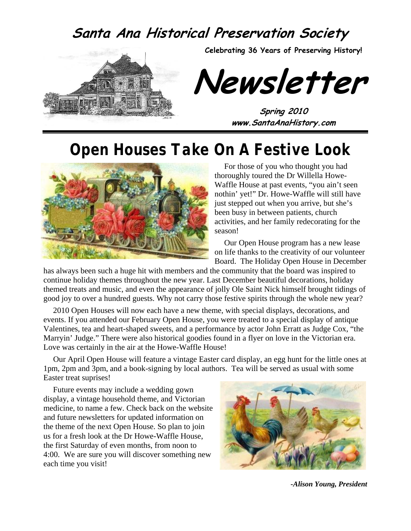### **Santa Ana Historical Preservation Society**



**Celebrating 36 Years of Preserving History!** 

**Newsletter** 

**Spring 2010 www.SantaAnaHistory.com** 

# *Open Houses Take On A Festive Look*



For those of you who thought you had thoroughly toured the Dr Willella Howe-Waffle House at past events, "you ain't seen nothin' yet!" Dr. Howe-Waffle will still have just stepped out when you arrive, but she's been busy in between patients, church activities, and her family redecorating for the season!

Our Open House program has a new lease on life thanks to the creativity of our volunteer Board. The Holiday Open House in December

has always been such a huge hit with members and the community that the board was inspired to continue holiday themes throughout the new year. Last December beautiful decorations, holiday themed treats and music, and even the appearance of jolly Ole Saint Nick himself brought tidings of good joy to over a hundred guests. Why not carry those festive spirits through the whole new year?

2010 Open Houses will now each have a new theme, with special displays, decorations, and events. If you attended our February Open House, you were treated to a special display of antique Valentines, tea and heart-shaped sweets, and a performance by actor John Erratt as Judge Cox, "the Marryin' Judge." There were also historical goodies found in a flyer on love in the Victorian era. Love was certainly in the air at the Howe-Waffle House!

Our April Open House will feature a vintage Easter card display, an egg hunt for the little ones at 1pm, 2pm and 3pm, and a book-signing by local authors. Tea will be served as usual with some Easter treat suprises!

Future events may include a wedding gown display, a vintage household theme, and Victorian medicine, to name a few. Check back on the website and future newsletters for updated information on the theme of the next Open House. So plan to join us for a fresh look at the Dr Howe-Waffle House, the first Saturday of even months, from noon to 4:00. We are sure you will discover something new each time you visit!



*-Alison Young, President*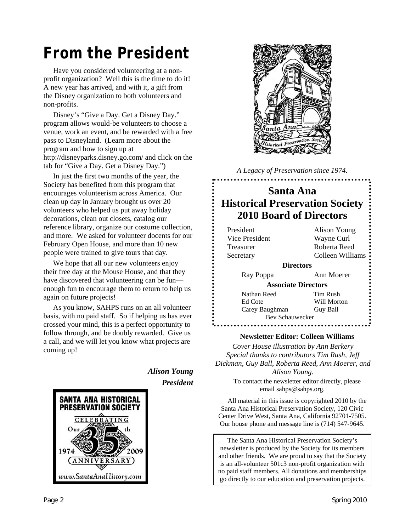# *From the President*

Have you considered volunteering at a nonprofit organization? Well this is the time to do it! A new year has arrived, and with it, a gift from the Disney organization to both volunteers and non-profits.

Disney's "Give a Day. Get a Disney Day." program allows would-be volunteers to choose a venue, work an event, and be rewarded with a free pass to Disneyland. (Learn more about the program and how to sign up at http://disneyparks.disney.go.com/ and click on the tab for "Give a Day. Get a Disney Day.")

In just the first two months of the year, the Society has benefited from this program that encourages volunteerism across America. Our clean up day in January brought us over 20 volunteers who helped us put away holiday decorations, clean out closets, catalog our reference library, organize our costume collection, and more. We asked for volunteer docents for our February Open House, and more than 10 new people were trained to give tours that day.

We hope that all our new volunteers enjoy their free day at the Mouse House, and that they have discovered that volunteering can be fun enough fun to encourage them to return to help us again on future projects!

As you know, SAHPS runs on an all volunteer basis, with no paid staff. So if helping us has ever crossed your mind, this is a perfect opportunity to follow through, and be doubly rewarded. Give us a call, and we will let you know what projects are coming up!



*Alison Young President* 



*A Legacy of Preservation since 1974.* 

### **Santa Ana Historical Preservation Society 2010 Board of Directors**

| President        | Alison Young               |  |  |
|------------------|----------------------------|--|--|
| Vice President   | Wayne Curl                 |  |  |
| <b>Treasurer</b> | Roberta Reed               |  |  |
| Secretary        | Colleen Williams           |  |  |
| <b>Directors</b> |                            |  |  |
| Ray Poppa        | Ann Moerer                 |  |  |
|                  | <b>Associate Directors</b> |  |  |
| Nathan Reed      | Tim Rush                   |  |  |
| Ed Cote          | Will Morton                |  |  |
| Carey Baughman   | Guy Ball                   |  |  |
| Bev Schauwecker  |                            |  |  |
|                  |                            |  |  |

#### **Newsletter Editor: Colleen Williams**

*Cover House illustration by Ann Berkery Special thanks to contributors Tim Rush, Jeff Dickman, Guy Ball, Roberta Reed, Ann Moerer, and Alison Young.* 

> To contact the newsletter editor directly, please email sahps@sahps.org.

All material in this issue is copyrighted 2010 by the Santa Ana Historical Preservation Society, 120 Civic Center Drive West, Santa Ana, California 92701-7505. Our house phone and message line is (714) 547-9645.

The Santa Ana Historical Preservation Society's newsletter is produced by the Society for its members and other friends. We are proud to say that the Society is an all-volunteer 501c3 non-profit organization with no paid staff members. All donations and memberships go directly to our education and preservation projects.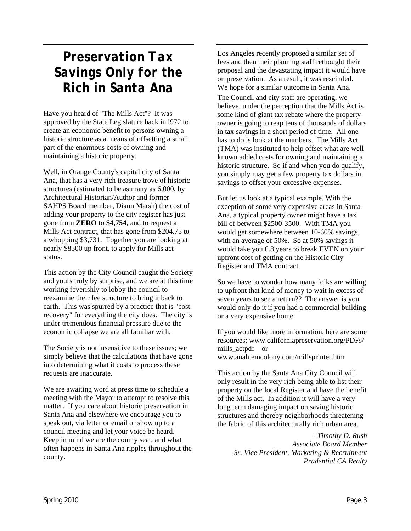## *Preservation Tax Savings Only for the Rich in Santa Ana*

Have you heard of "The Mills Act"? It was approved by the State Legislature back in l972 to create an economic benefit to persons owning a historic structure as a means of offsetting a small part of the enormous costs of owning and maintaining a historic property.

Well, in Orange County's capital city of Santa Ana, that has a very rich treasure trove of historic structures (estimated to be as many as 6,000, by Architectural Historian/Author and former SAHPS Board member, Diann Marsh) the cost of adding your property to the city register has just gone from **ZERO** to **\$4,754**, and to request a Mills Act contract, that has gone from \$204.75 to a whopping \$3,731. Together you are looking at nearly \$8500 up front, to apply for Mills act status.

This action by the City Council caught the Society and yours truly by surprise, and we are at this time working feverishly to lobby the council to reexamine their fee structure to bring it back to earth. This was spurred by a practice that is "cost recovery" for everything the city does. The city is under tremendous financial pressure due to the economic collapse we are all familiar with.

The Society is not insensitive to these issues; we simply believe that the calculations that have gone into determining what it costs to process these requests are inaccurate.

We are awaiting word at press time to schedule a meeting with the Mayor to attempt to resolve this matter. If you care about historic preservation in Santa Ana and elsewhere we encourage you to speak out, via letter or email or show up to a council meeting and let your voice be heard. Keep in mind we are the county seat, and what often happens in Santa Ana ripples throughout the county.

Los Angeles recently proposed a similar set of fees and then their planning staff rethought their proposal and the devastating impact it would have on preservation. As a result, it was rescinded. We hope for a similar outcome in Santa Ana.

The Council and city staff are operating, we believe, under the perception that the Mills Act is some kind of giant tax rebate where the property owner is going to reap tens of thousands of dollars in tax savings in a short period of time. All one has to do is look at the numbers. The Mills Act (TMA) was instituted to help offset what are well known added costs for owning and maintaining a historic structure. So if and when you do qualify, you simply may get a few property tax dollars in savings to offset your excessive expenses.

But let us look at a typical example. With the exception of some very expensive areas in Santa Ana, a typical property owner might have a tax bill of between \$2500-3500. With TMA you would get somewhere between 10-60% savings, with an average of 50%. So at 50% savings it would take you 6.8 years to break EVEN on your upfront cost of getting on the Historic City Register and TMA contract.

So we have to wonder how many folks are willing to upfront that kind of money to wait in excess of seven years to see a return?? The answer is you would only do it if you had a commercial building or a very expensive home.

If you would like more information, here are some resources; www.californiapreservation.org/PDFs/ mills actpdf or www.anahiemcolony.com/millsprinter.htm

This action by the Santa Ana City Council will only result in the very rich being able to list their property on the local Register and have the benefit of the Mills act. In addition it will have a very long term damaging impact on saving historic structures and thereby neighborhoods threatening the fabric of this architecturally rich urban area.

- *Timothy D. Rush Associate Board Member Sr. Vice President, Marketing & Recruitment Prudential CA Realty*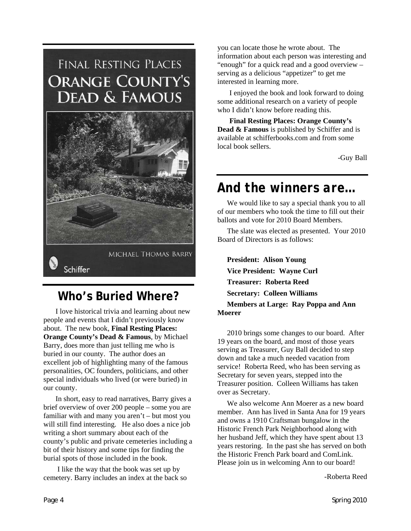# FINAL RESTING PLACES **ORANGE COUNTY'S DEAD & FAMOUS**



### **Who's Buried Where?**

I love historical trivia and learning about new people and events that I didn't previously know about. The new book, **Final Resting Places: Orange County's Dead & Famous**, by Michael Barry, does more than just telling me who is buried in our county. The author does an excellent job of highlighting many of the famous personalities, OC founders, politicians, and other special individuals who lived (or were buried) in our county.

In short, easy to read narratives, Barry gives a brief overview of over 200 people – some you are familiar with and many you aren't – but most you will still find interesting. He also does a nice job writing a short summary about each of the county's public and private cemeteries including a bit of their history and some tips for finding the burial spots of those included in the book.

 I like the way that the book was set up by cemetery. Barry includes an index at the back so you can locate those he wrote about. The information about each person was interesting and "enough" for a quick read and a good overview – serving as a delicious "appetizer" to get me interested in learning more.

I enjoyed the book and look forward to doing some additional research on a variety of people who I didn't know before reading this.

**Final Resting Places: Orange County's Dead & Famous** is published by Schiffer and is available at schifferbooks.com and from some local book sellers.

-Guy Ball

## *And the winners are…*

We would like to say a special thank you to all of our members who took the time to fill out their ballots and vote for 2010 Board Members.

The slate was elected as presented. Your 2010 Board of Directors is as follows:

**President: Alison Young Vice President: Wayne Curl Treasurer: Roberta Reed Secretary: Colleen Williams Members at Large: Ray Poppa and Ann Moerer** 

2010 brings some changes to our board. After 19 years on the board, and most of those years serving as Treasurer, Guy Ball decided to step down and take a much needed vacation from service! Roberta Reed, who has been serving as Secretary for seven years, stepped into the Treasurer position. Colleen Williams has taken over as Secretary.

We also welcome Ann Moerer as a new board member. Ann has lived in Santa Ana for 19 years and owns a 1910 Craftsman bungalow in the Historic French Park Neighborhood along with her husband Jeff, which they have spent about 13 years restoring. In the past she has served on both the Historic French Park board and ComLink. Please join us in welcoming Ann to our board!

-Roberta Reed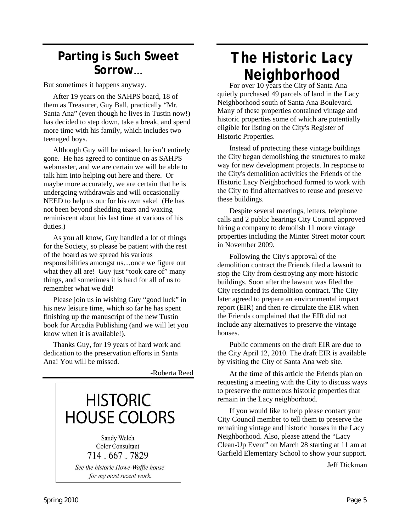### **Parting is Such Sweet Sorrow**...

But sometimes it happens anyway.

After 19 years on the SAHPS board, 18 of them as Treasurer, Guy Ball, practically "Mr. Santa Ana" (even though he lives in Tustin now!) has decided to step down, take a break, and spend more time with his family, which includes two teenaged boys.

Although Guy will be missed, he isn't entirely gone. He has agreed to continue on as SAHPS webmaster, and we are certain we will be able to talk him into helping out here and there. Or maybe more accurately, we are certain that he is undergoing withdrawals and will occasionally NEED to help us our for his own sake! (He has not been beyond shedding tears and waxing reminiscent about his last time at various of his duties.)

As you all know, Guy handled a lot of things for the Society, so please be patient with the rest of the board as we spread his various responsibilities amongst us…once we figure out what they all are! Guy just "took care of" many things, and sometimes it is hard for all of us to remember what we did!

Please join us in wishing Guy "good luck" in his new leisure time, which so far he has spent finishing up the manuscript of the new Tustin book for Arcadia Publishing (and we will let you know when it is available!).

Thanks Guy, for 19 years of hard work and dedication to the preservation efforts in Santa Ana! You will be missed.

-Roberta Reed



# *The Historic Lacy Neighborhood*<br>For over 10 years the City of Santa Ana

quietly purchased 49 parcels of land in the Lacy Neighborhood south of Santa Ana Boulevard. Many of these properties contained vintage and historic properties some of which are potentially eligible for listing on the City's Register of Historic Properties.

Instead of protecting these vintage buildings the City began demolishing the structures to make way for new development projects. In response to the City's demolition activities the Friends of the Historic Lacy Neighborhood formed to work with the City to find alternatives to reuse and preserve these buildings.

Despite several meetings, letters, telephone calls and 2 public hearings City Council approved hiring a company to demolish 11 more vintage properties including the Minter Street motor court in November 2009.

Following the City's approval of the demolition contract the Friends filed a lawsuit to stop the City from destroying any more historic buildings. Soon after the lawsuit was filed the City rescinded its demolition contract. The City later agreed to prepare an environmental impact report (EIR) and then re-circulate the EIR when the Friends complained that the EIR did not include any alternatives to preserve the vintage houses.

Public comments on the draft EIR are due to the City April 12, 2010. The draft EIR is available by visiting the City of Santa Ana web site.

At the time of this article the Friends plan on requesting a meeting with the City to discuss ways to preserve the numerous historic properties that remain in the Lacy neighborhood.

If you would like to help please contact your City Council member to tell them to preserve the remaining vintage and historic houses in the Lacy Neighborhood. Also, please attend the "Lacy Clean-Up Event" on March 28 starting at 11 am at Garfield Elementary School to show your support.

Jeff Dickman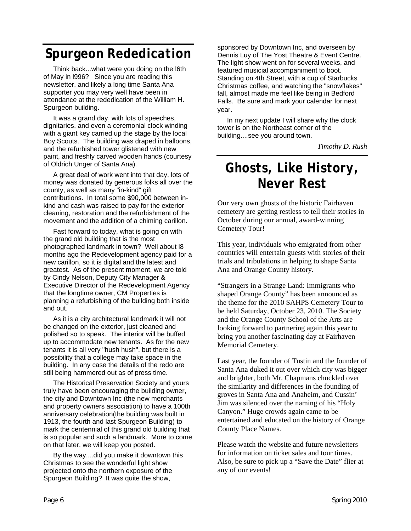## *Spurgeon Rededication*

Think back...what were you doing on the l6th of May in l996? Since you are reading this newsletter, and likely a long time Santa Ana supporter you may very well have been in attendance at the rededication of the William H. Spurgeon building.

It was a grand day, with lots of speeches, dignitaries, and even a ceremonial clock winding with a giant key carried up the stage by the local Boy Scouts. The building was draped in balloons, and the refurbished tower glistened with new paint, and freshly carved wooden hands (courtesy of Oldrich Unger of Santa Ana).

A great deal of work went into that day, lots of money was donated by generous folks all over the county, as well as many "in-kind" gift contributions. In total some \$90,000 between inkind and cash was raised to pay for the exterior cleaning, restoration and the refurbishment of the movement and the addition of a chiming carillon.

Fast forward to today, what is going on with the grand old building that is the most photographed landmark in town? Well about l8 months ago the Redevelopment agency paid for a new carillon, so it is digital and the latest and greatest. As of the present moment, we are told by Cindy Nelson, Deputy City Manager & Executive Director of the Redevelopment Agency that the longtime owner, CM Properties is planning a refurbishing of the building both inside and out.

As it is a city architectural landmark it will not be changed on the exterior, just cleaned and polished so to speak. The interior will be buffed up to accommodate new tenants. As for the new tenants it is all very "hush hush", but there is a possibility that a college may take space in the building. In any case the details of the redo are still being hammered out as of press time.

The Historical Preservation Society and yours truly have been encouraging the building owner, the city and Downtown Inc (the new merchants and property owners association) to have a 100th anniversary celebration(the building was built in 1913, the fourth and last Spurgeon Building) to mark the centennial of this grand old building that is so popular and such a landmark. More to come on that later, we will keep you posted.

By the way....did you make it downtown this Christmas to see the wonderful light show projected onto the northern exposure of the Spurgeon Building? It was quite the show,

sponsored by Downtown Inc, and overseen by Dennis Luy of The Yost Theatre & Event Centre. The light show went on for several weeks, and featured musicial accompaniment to boot. Standing on 4th Street, with a cup of Starbucks Christmas coffee, and watching the "snowflakes" fall, almost made me feel like being in Bedford Falls. Be sure and mark your calendar for next year.

In my next update I will share why the clock tower is on the Northeast corner of the building....see you around town.

*Timothy D. Rush*

## *Ghosts, Like History, Never Rest*

Our very own ghosts of the historic Fairhaven cemetery are getting restless to tell their stories in October during our annual, award-winning Cemetery Tour!

This year, individuals who emigrated from other countries will entertain guests with stories of their trials and tribulations in helping to shape Santa Ana and Orange County history.

"Strangers in a Strange Land: Immigrants who shaped Orange County" has been announced as the theme for the 2010 SAHPS Cemetery Tour to be held Saturday, October 23, 2010. The Society and the Orange County School of the Arts are looking forward to partnering again this year to bring you another fascinating day at Fairhaven Memorial Cemetery.

Last year, the founder of Tustin and the founder of Santa Ana duked it out over which city was bigger and brighter, both Mr. Chapmans chuckled over the similarity and differences in the founding of groves in Santa Ana and Anaheim, and Cussin' Jim was silenced over the naming of his "Holy Canyon." Huge crowds again came to be entertained and educated on the history of Orange County Place Names.

Please watch the website and future newsletters for information on ticket sales and tour times. Also, be sure to pick up a "Save the Date" flier at any of our events!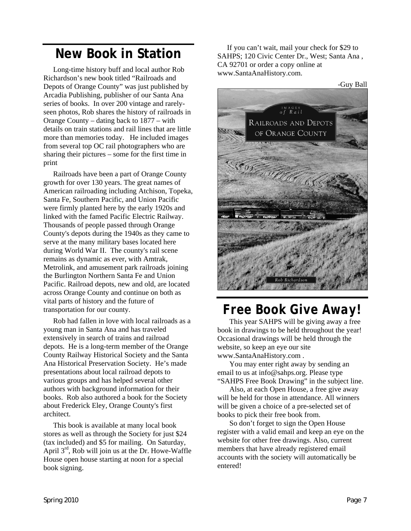### **New Book in Station**

Long-time history buff and local author Rob Richardson's new book titled "Railroads and Depots of Orange County" was just published by Arcadia Publishing, publisher of our Santa Ana series of books. In over 200 vintage and rarelyseen photos, Rob shares the history of railroads in Orange County – dating back to 1877 – with details on train stations and rail lines that are little more than memories today. He included images from several top OC rail photographers who are sharing their pictures – some for the first time in print

Railroads have been a part of Orange County growth for over 130 years. The great names of American railroading including Atchison, Topeka, Santa Fe, Southern Pacific, and Union Pacific were firmly planted here by the early 1920s and linked with the famed Pacific Electric Railway. Thousands of people passed through Orange County's depots during the 1940s as they came to serve at the many military bases located here during World War II. The county's rail scene remains as dynamic as ever, with Amtrak, Metrolink, and amusement park railroads joining the Burlington Northern Santa Fe and Union Pacific. Railroad depots, new and old, are located across Orange County and continue on both as vital parts of history and the future of transportation for our county.

Rob had fallen in love with local railroads as a young man in Santa Ana and has traveled extensively in search of trains and railroad depots. He is a long-term member of the Orange County Railway Historical Society and the Santa Ana Historical Preservation Society. He's made presentations about local railroad depots to various groups and has helped several other authors with background information for their books. Rob also authored a book for the Society about Frederick Eley, Orange County's first architect.

This book is available at many local book stores as well as through the Society for just \$24 (tax included) and \$5 for mailing. On Saturday, April  $3<sup>rd</sup>$ , Rob will join us at the Dr. Howe-Waffle House open house starting at noon for a special book signing.

If you can't wait, mail your check for \$29 to SAHPS; 120 Civic Center Dr., West; Santa Ana , CA 92701 or order a copy online at www.SantaAnaHistory.com.

-Guy Ball



## *Free Book Give Away!*

This year SAHPS will be giving away a free book in drawings to be held throughout the year! Occasional drawings will be held through the website, so keep an eye our site www.SantaAnaHistory.com .

You may enter right away by sending an email to us at info@sahps.org. Please type "SAHPS Free Book Drawing" in the subject line.

Also, at each Open House, a free give away will be held for those in attendance. All winners will be given a choice of a pre-selected set of books to pick their free book from.

So don't forget to sign the Open House register with a valid email and keep an eye on the website for other free drawings. Also, current members that have already registered email accounts with the society will automatically be entered!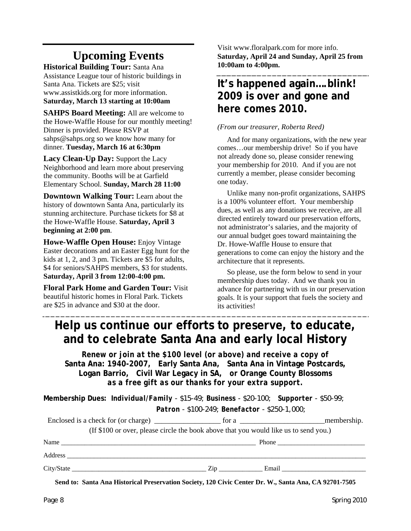### **Upcoming Events**

**Historical Building Tour:** Santa Ana Assistance League tour of historic buildings in Santa Ana. Tickets are \$25; visit www.assistkids.org for more information. **Saturday, March 13 starting at 10:00am**

**SAHPS Board Meeting:** All are welcome to the Howe-Waffle House for our monthly meeting! Dinner is provided. Please RSVP at sahps@sahps.org so we know how many for dinner. **Tuesday, March 16 at 6:30pm**

**Lacy Clean-Up Day:** Support the Lacy Neighborhood and learn more about preserving the community. Booths will be at Garfield Elementary School. **Sunday, March 28 11:00**

**Downtown Walking Tour:** Learn about the history of downtown Santa Ana, particularly its stunning architecture. Purchase tickets for \$8 at the Howe-Waffle House. **Saturday, April 3 beginning at 2:00 pm**.

**Howe-Waffle Open House:** Enjoy Vintage Easter decorations and an Easter Egg hunt for the kids at 1, 2, and 3 pm. Tickets are \$5 for adults, \$4 for seniors/SAHPS members, \$3 for students. **Saturday, April 3 from 12:00-4:00 pm.** 

**Floral Park Home and Garden Tour:** Visit beautiful historic homes in Floral Park. Tickets are \$25 in advance and \$30 at the door.

Visit www.floralpark.com for more info. **Saturday, April 24 and Sunday, April 25 from 10:00am to 4:00pm.**

### **It's happened again….blink! 2009 is over and gone and here comes 2010.**

#### *(From our treasurer, Roberta Reed)*

And for many organizations, with the new year comes…our membership drive! So if you have not already done so, please consider renewing your membership for 2010. And if you are not currently a member, please consider becoming one today.

Unlike many non-profit organizations, SAHPS is a 100% volunteer effort. Your membership dues, as well as any donations we receive, are all directed entirely toward our preservation efforts, not administrator's salaries, and the majority of our annual budget goes toward maintaining the Dr. Howe-Waffle House to ensure that generations to come can enjoy the history and the architecture that it represents.

So please, use the form below to send in your membership dues today. And we thank you in advance for partnering with us in our preservation goals. It is your support that fuels the society and its activities!

### **Help us continue our efforts to preserve, to educate, and to celebrate Santa Ana and early local History**

*Renew or join at the \$100 level (or above) and receive a copy of*  **Santa Ana: 1940-2007***,* **Early Santa Ana, Santa Ana in Vintage Postcards, Logan Barrio, Civil War Legacy in SA,** *or* **Orange County Blossoms** *as a free gift as our thanks for your extra support.* 

**Membership Dues:** *Individual/Family - \$15-49; Business - \$20-100; Supporter - \$50-99; Patron - \$100-249; Benefactor - \$250-1,000;* 

|                                                                                      |                                                                                                                                                                                                                                | _membership.                                                                                                                                                                                                                  |
|--------------------------------------------------------------------------------------|--------------------------------------------------------------------------------------------------------------------------------------------------------------------------------------------------------------------------------|-------------------------------------------------------------------------------------------------------------------------------------------------------------------------------------------------------------------------------|
| (If \$100 or over, please circle the book above that you would like us to send you.) |                                                                                                                                                                                                                                |                                                                                                                                                                                                                               |
| Name                                                                                 |                                                                                                                                                                                                                                |                                                                                                                                                                                                                               |
|                                                                                      |                                                                                                                                                                                                                                |                                                                                                                                                                                                                               |
| $\frac{C}{\text{itv}}$ State                                                         | Zip and the same state of the state of the state of the state of the state of the state of the state of the state of the state of the state of the state of the state of the state of the state of the state of the state of t | Email and the contract of the contract of the contract of the contract of the contract of the contract of the contract of the contract of the contract of the contract of the contract of the contract of the contract of the |

**Send to: Santa Ana Historical Preservation Society, 120 Civic Center Dr. W., Santa Ana, CA 92701-7505**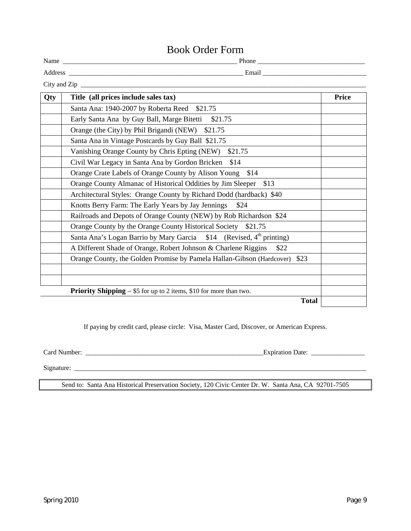### Book Order Form

|     | DOOK OTHER FOLILE                                                             |              |
|-----|-------------------------------------------------------------------------------|--------------|
|     |                                                                               |              |
|     |                                                                               |              |
|     |                                                                               |              |
| Qty | Title (all prices include sales tax)                                          | <b>Price</b> |
|     | Santa Ana: 1940-2007 by Roberta Reed \$21.75                                  |              |
|     | Early Santa Ana by Guy Ball, Marge Bitetti \$21.75                            |              |
|     | Orange (the City) by Phil Brigandi (NEW) \$21.75                              |              |
|     | Santa Ana in Vintage Postcards by Guy Ball \$21.75                            |              |
|     | Vanishing Orange County by Chris Epting (NEW) \$21.75                         |              |
|     | Civil War Legacy in Santa Ana by Gordon Bricken \$14                          |              |
|     | Orange Crate Labels of Orange County by Alison Young \$14                     |              |
|     | Orange County Almanac of Historical Oddities by Jim Sleeper \$13              |              |
|     | Architectural Styles: Orange County by Richard Dodd (hardback) \$40           |              |
|     | Knotts Berry Farm: The Early Years by Jay Jennings<br>\$24                    |              |
|     | Railroads and Depots of Orange County (NEW) by Rob Richardson \$24            |              |
|     | Orange County by the Orange County Historical Society \$21.75                 |              |
|     | Santa Ana's Logan Barrio by Mary Garcia \$14 (Revised, 4th printing)          |              |
|     | A Different Shade of Orange, Robert Johnson & Charlene Riggins<br>\$22        |              |
|     | Orange County, the Golden Promise by Pamela Hallan-Gibson (Hardcover)<br>\$23 |              |
|     |                                                                               |              |
|     |                                                                               |              |
|     | <b>Driggity Chinnips</b> $\&$ 5 for up to 2 items $\&$ 10 for more than two   |              |

**Priority Shipping** – \$5 for up to 2 items, \$10 for more than two.

**Total** 

If paying by credit card, please circle: Visa, Master Card, Discover, or American Express.

Card Number: \_\_\_\_\_\_\_\_\_\_\_\_\_\_\_\_\_\_\_\_\_\_\_\_\_\_\_\_\_\_\_\_\_\_\_\_\_\_\_\_\_\_\_\_\_\_\_\_\_\_\_\_\_Expiration Date: \_\_\_\_\_\_\_\_\_\_\_\_\_\_\_\_

Signature: \_\_\_\_\_\_\_\_\_\_\_\_\_\_\_\_\_\_\_\_\_\_\_\_\_\_\_\_\_\_\_\_\_\_\_\_\_\_\_\_\_\_\_\_\_\_\_\_\_\_\_\_\_\_\_\_\_\_\_\_\_\_\_\_\_\_\_\_\_\_\_\_\_\_\_\_\_\_\_\_\_\_\_\_\_\_\_

Send to: Santa Ana Historical Preservation Society, 120 Civic Center Dr. W. Santa Ana, CA 92701-7505